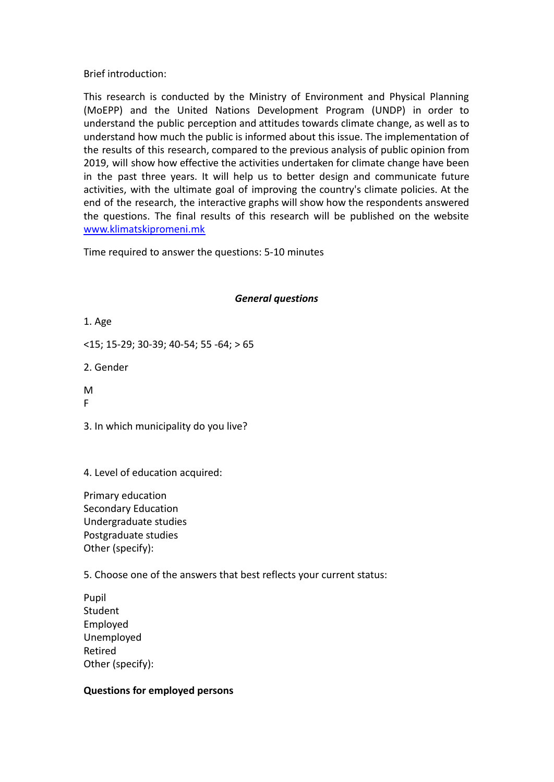Brief introduction:

This research is conducted by the Ministry of Environment and Physical Planning (MoEPP) and the United Nations Development Program (UNDP) in order to understand the public perception and attitudes towards climate change, as well as to understand how much the public is informed about this issue. The implementation of the results of this research, compared to the previous analysis of public opinion from 2019, will show how effective the activities undertaken for climate change have been in the past three years. It will help us to better design and communicate future activities, with the ultimate goal of improving the country's climate policies. At the end of the research, the interactive graphs will show how the respondents answered the questions. The final results of this research will be published on the website [www.klimatskipromeni.mk](http://www.klimatskipromeni.mk)

Time required to answer the questions: 5-10 minutes

## *General questions*

1. Age

<15; 15-29; 30-39; 40-54; 55 -64; > 65

2. Gender

M

F

3. In which municipality do you live?

4. Level of education acquired:

Primary education Secondary Education Undergraduate studies Postgraduate studies Other (specify):

5. Choose one of the answers that best reflects your current status:

Pupil Student Employed Unemployed Retired Other (specify):

# **Questions for employed persons**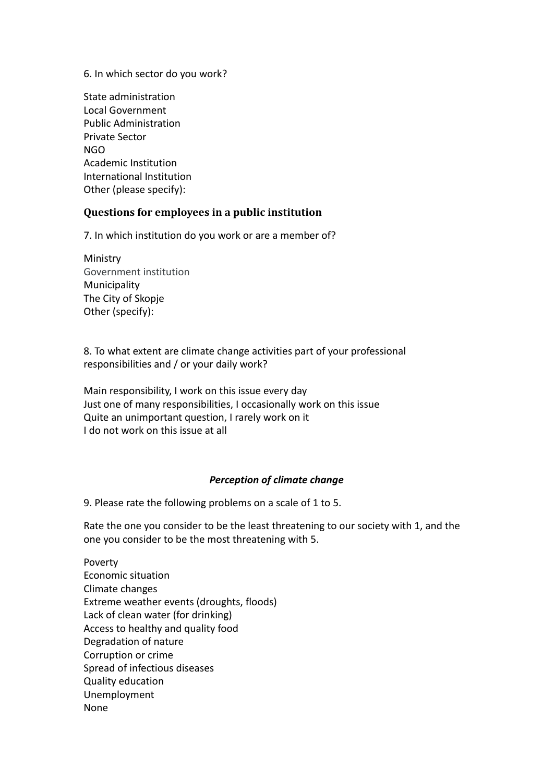6. In which sector do you work?

State administration Local Government Public Administration Private Sector NGO Academic Institution International Institution Other (please specify):

### **Questions for employees in a public institution**

7. In which institution do you work or are a member of?

Ministry Government institution Municipality The City of Skopje Other (specify):

8. To what extent are climate change activities part of your professional responsibilities and / or your daily work?

Main responsibility, I work on this issue every day Just one of many responsibilities, I occasionally work on this issue Quite an unimportant question, I rarely work on it I do not work on this issue at all

#### *Perception of climate change*

9. Please rate the following problems on a scale of 1 to 5.

Rate the one you consider to be the least threatening to our society with 1, and the one you consider to be the most threatening with 5.

Poverty Economic situation Climate changes Extreme weather events (droughts, floods) Lack of clean water (for drinking) Access to healthy and quality food Degradation of nature Corruption or crime Spread of infectious diseases Quality education Unemployment None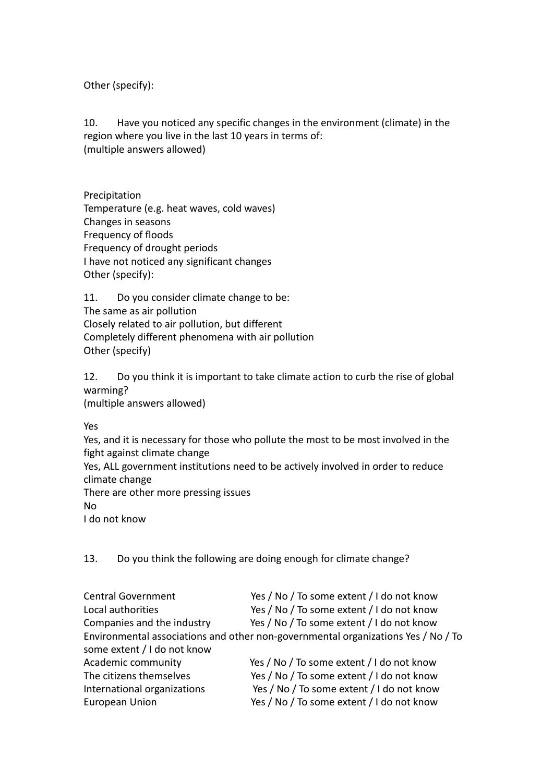Other (specify):

10. Have you noticed any specific changes in the environment (climate) in the region where you live in the last 10 years in terms of: (multiple answers allowed)

Precipitation Temperature (e.g. heat waves, cold waves) Changes in seasons Frequency of floods Frequency of drought periods I have not noticed any significant changes Other (specify):

11. Do you consider climate change to be: The same as air pollution Closely related to air pollution, but different Completely different phenomena with air pollution Other (specify)

12. Do you think it is important to take climate action to curb the rise of global warming? (multiple answers allowed)

Yes

Yes, and it is necessary for those who pollute the most to be most involved in the fight against climate change

Yes, ALL government institutions need to be actively involved in order to reduce climate change

There are other more pressing issues No

I do not know

13. Do you think the following are doing enough for climate change?

| <b>Central Government</b>   | Yes / No / To some extent / I do not know                                         |
|-----------------------------|-----------------------------------------------------------------------------------|
| Local authorities           | Yes / No / To some extent / I do not know                                         |
| Companies and the industry  | Yes / No / To some extent / I do not know                                         |
|                             | Environmental associations and other non-governmental organizations Yes / No / To |
| some extent / I do not know |                                                                                   |
| Academic community          | Yes / No / To some extent / I do not know                                         |
| The citizens themselves     | Yes / No / To some extent / I do not know                                         |
| International organizations | Yes / No / To some extent / I do not know                                         |
| <b>European Union</b>       | Yes / No / To some extent / I do not know                                         |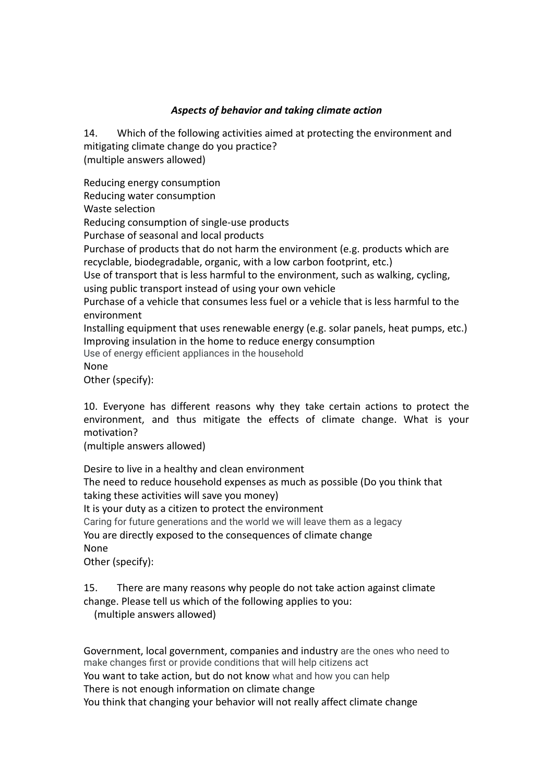## *Aspects of behavior and taking climate action*

14. Which of the following activities aimed at protecting the environment and mitigating climate change do you practice? (multiple answers allowed)

Reducing energy consumption Reducing water consumption Waste selection Reducing consumption of single-use products Purchase of seasonal and local products Purchase of products that do not harm the environment (e.g. products which are recyclable, biodegradable, organic, with a low carbon footprint, etc.) Use of transport that is less harmful to the environment, such as walking, cycling, using public transport instead of using your own vehicle Purchase of a vehicle that consumes less fuel or a vehicle that is less harmful to the environment Installing equipment that uses renewable energy (e.g. solar panels, heat pumps, etc.) Improving insulation in the home to reduce energy consumption Use of energy efficient appliances in the household None

Other (specify):

10. Everyone has different reasons why they take certain actions to protect the environment, and thus mitigate the effects of climate change. What is your motivation?

(multiple answers allowed)

Desire to live in a healthy and clean environment The need to reduce household expenses as much as possible (Do you think that taking these activities will save you money) It is your duty as a citizen to protect the environment Caring for future generations and the world we will leave them as a legacy You are directly exposed to the consequences of climate change None Other (specify):

15. There are many reasons why people do not take action against climate change. Please tell us which of the following applies to you:

(multiple answers allowed)

Government, local government, companies and industry are the ones who need to make changes first or provide conditions that will help citizens act You want to take action, but do not know what and how you can help There is not enough information on climate change You think that changing your behavior will not really affect climate change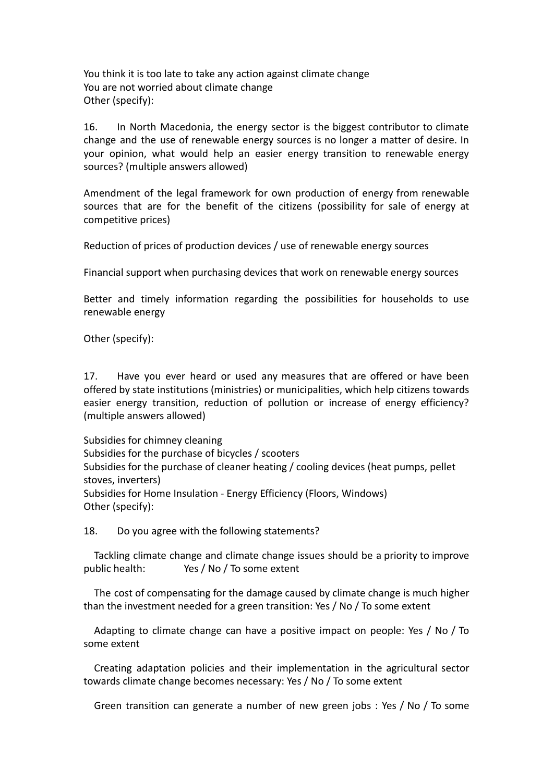You think it is too late to take any action against climate change You are not worried about climate change Other (specify):

16. In North Macedonia, the energy sector is the biggest contributor to climate change and the use of renewable energy sources is no longer a matter of desire. In your opinion, what would help an easier energy transition to renewable energy sources? (multiple answers allowed)

Amendment of the legal framework for own production of energy from renewable sources that are for the benefit of the citizens (possibility for sale of energy at competitive prices)

Reduction of prices of production devices / use of renewable energy sources

Financial support when purchasing devices that work on renewable energy sources

Better and timely information regarding the possibilities for households to use renewable energy

Other (specify):

17. Have you ever heard or used any measures that are offered or have been offered by state institutions (ministries) or municipalities, which help citizens towards easier energy transition, reduction of pollution or increase of energy efficiency? (multiple answers allowed)

Subsidies for chimney cleaning Subsidies for the purchase of bicycles / scooters Subsidies for the purchase of cleaner heating / cooling devices (heat pumps, pellet stoves, inverters) Subsidies for Home Insulation - Energy Efficiency (Floors, Windows) Other (specify):

18. Do you agree with the following statements?

Tackling climate change and climate change issues should be a priority to improve public health: Yes / No / To some extent

The cost of compensating for the damage caused by climate change is much higher than the investment needed for a green transition: Yes / No / To some extent

Adapting to climate change can have a positive impact on people: Yes / No / To some extent

Creating adaptation policies and their implementation in the agricultural sector towards climate change becomes necessary: Yes / No / To some extent

Green transition can generate a number of new green jobs : Yes / No / To some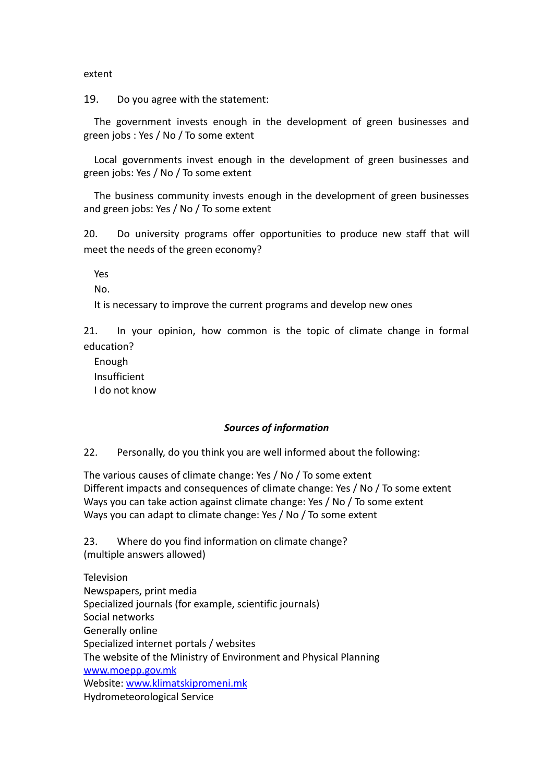extent

19. Do you agree with the statement:

The government invests enough in the development of green businesses and green jobs : Yes / No / To some extent

Local governments invest enough in the development of green businesses and green jobs: Yes / No / To some extent

The business community invests enough in the development of green businesses and green jobs: Yes / No / To some extent

20. Do university programs offer opportunities to produce new staff that will meet the needs of the green economy?

Yes

No.

It is necessary to improve the current programs and develop new ones

21. In your opinion, how common is the topic of climate change in formal education?

Enough Insufficient I do not know

### *Sources of information*

22. Personally, do you think you are well informed about the following:

The various causes of climate change: Yes / No / To some extent Different impacts and consequences of climate change: Yes / No / To some extent Ways you can take action against climate change: Yes / No / To some extent Ways you can adapt to climate change: Yes / No / To some extent

23. Where do you find information on climate change? (multiple answers allowed)

**Television** Newspapers, print media Specialized journals (for example, scientific journals) Social networks Generally online Specialized internet portals / websites The website of the Ministry of Environment and Physical Planning [www.moepp.gov.mk](http://www.moepp.gov.mk) Website: [www.klimatskipromeni.mk](http://www.klimatskipromeni.mk) Hydrometeorological Service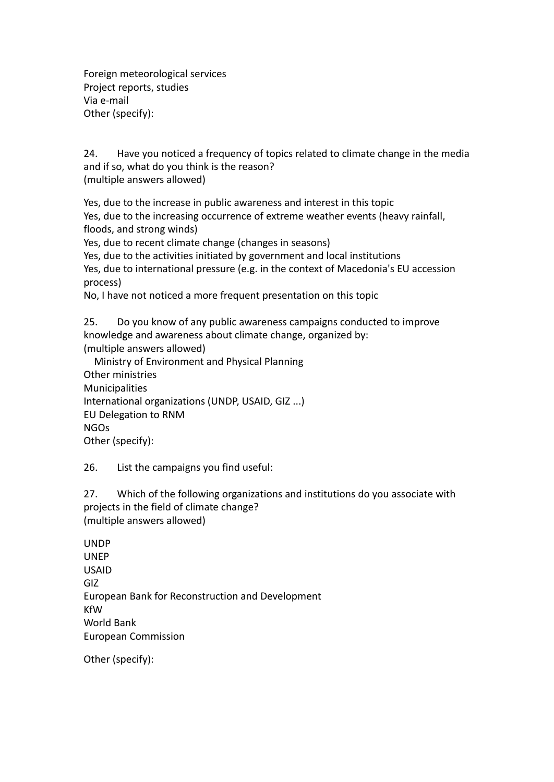Foreign meteorological services Project reports, studies Via e-mail Other (specify):

24. Have you noticed a frequency of topics related to climate change in the media and if so, what do you think is the reason? (multiple answers allowed)

Yes, due to the increase in public awareness and interest in this topic Yes, due to the increasing occurrence of extreme weather events (heavy rainfall, floods, and strong winds)

Yes, due to recent climate change (changes in seasons)

Yes, due to the activities initiated by government and local institutions

Yes, due to international pressure (e.g. in the context of Macedonia's EU accession process)

No, I have not noticed a more frequent presentation on this topic

25. Do you know of any public awareness campaigns conducted to improve knowledge and awareness about climate change, organized by: (multiple answers allowed)

Ministry of Environment and Physical Planning Other ministries Municipalities International organizations (UNDP, USAID, GIZ ...) EU Delegation to RNM NGOs Other (specify):

26. List the campaigns you find useful:

27. Which of the following organizations and institutions do you associate with projects in the field of climate change? (multiple answers allowed)

UNDP UNEP USAID GIZ European Bank for Reconstruction and Development KfW World Bank European Commission

Other (specify):